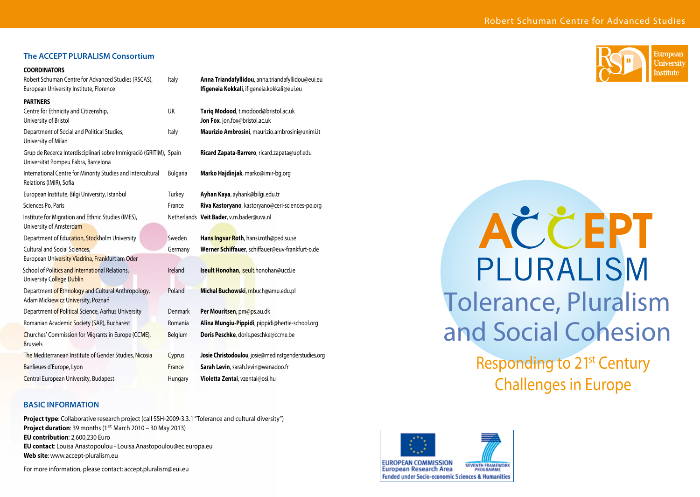| The ACCEPT PLURALISM Consortium                                                                                       |                    |
|-----------------------------------------------------------------------------------------------------------------------|--------------------|
| <b>COORDINATORS</b><br>Robert Schuman Centre for Advanced Studies (RSCAS),<br>European University Institute, Florence | Italy              |
| <b>PARTNERS</b><br>Centre for Ethnicity and Citizenship,<br>University of Bristol                                     | UK                 |
| Department of Social and Political Studies,<br>University of Milan                                                    | Italy              |
| Grup de Recerca Interdisciplinari sobre Immigració (GRITIM), Spain<br>Universitat Pompeu Fabra, Barcelona             |                    |
| International Centre for Minority Studies and Intercultural<br>Relations (IMIR), Sofia                                | <b>Bulgaria</b>    |
| European Institute, Bilgi University, Istanbul                                                                        | Turkey             |
| Sciences Po, Paris                                                                                                    | France             |
| Institute for Migration and Ethnic Studies (IMES),<br>University of Amsterdam                                         | <b>Netherlands</b> |
| Department of Education, Stockholm University                                                                         | Sweden             |
| <b>Cultural and Social Sciences,</b>                                                                                  | Germany            |
| European University Viadrina, Frankfurt am Oder                                                                       |                    |
| School of Politics and International Relations,<br>University College Dublin                                          | Ireland            |
| Department of Ethnology and Cultural Anthropology,<br>Adam Mickiewicz University, Poznań                              | Poland             |
| Department of Political Science, Aarhus University                                                                    | Denmark            |
| Romanian Academic Society (SAR), Bucharest                                                                            | Romania            |
| Churches' Commission for Migrants in Europe (CCME),<br><b>Brussels</b>                                                | Belgium            |

**Anna Triandafyllidou**, anna.triandafyllidou@eui.eu Ifigeneia Kokkali, ifigeneia.kokkali@eui.eu

Tariq Modood, t.modood@bristol.ac.uk Jon Fox, jon.fox@bristol.ac.uk **Maurizio Ambrosini**, maurizio.ambrosini@unimi.it

**Ricard Zapata-Barrero**, ricard.zapata@upf.edu

**Marko Hajdinjak**, marko@imir-bg.org

- **Ayhan Kaya**, ayhank@bilgi.edu.tr Riva Kastoryano, kastoryano@ceri-sciences-po.org
- Veit Bader, v.m.bader@uva.nl
- Hans Ingvar Roth, hansi.roth@ped.su.se Werner Schiffauer, schiffauer@euv-frankfurt-o.de **Iseult Honohan, iseult.honohan@ucd.ie Michal Buchowski, mbuch@amu.edu.pl** Per Mouritsen, pm@ps.au.dk Alina Mungiu-Pippidi, pippidi@hertie-school.org Doris Peschke, doris.peschke@ccme.be
- The Mediterranean Institute of Gender Studies, Nicosia Cyprus **Josie Christodoulou**, josie@medinstgenderstudies.org Banlieues d'Europe, Lyon **France Sarah Levin**, sarah.levin@wanadoo.fr **Central European University, Budapest Hungary Violetta Zentai**, vzentai@osi.hu

### **BASIC INFORMATION**

**Project type**: Collaborative research project (call SSH-2009-3.3.1 "Tolerance and cultural diversity") **Project duration:** 39 months (1<sup>st</sup> March 2010 – 30 May 2013) **EU contribution**: 2,600,230 Euro **EU contact**: Louisa Anastopoulou - Louisa.Anastopoulou@ec.europa.eu **Web site**: www.accept-pluralism.eu

For more information, please contact: accept.pluralism@eui.eu



# AČČEPT PLURALISM Tolerance, Pluralism and Social Cohesion

Responding to 21st Century Challenges in Europe